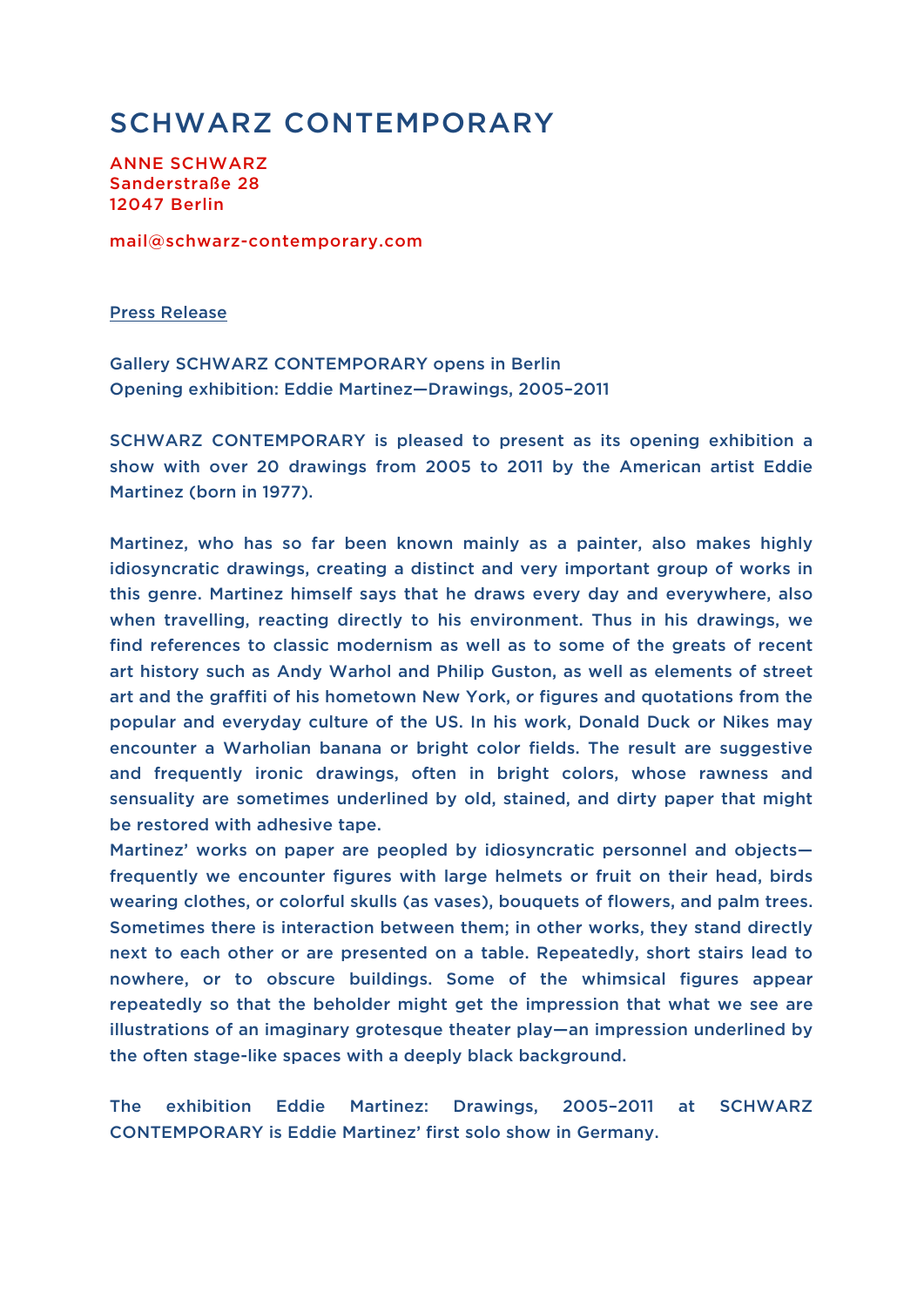## SCHWARZ CONTEMPORARY

ANNE SCHWARZ Sanderstraße 28 12047 Berlin

mail@schwarz-contemporary.com

Press Release

Gallery SCHWARZ CONTEMPORARY opens in Berlin Opening exhibition: Eddie Martinez—Drawings, 2005–2011

SCHWARZ CONTEMPORARY is pleased to present as its opening exhibition a show with over 20 drawings from 2005 to 2011 by the American artist Eddie Martinez (born in 1977).

Martinez, who has so far been known mainly as a painter, also makes highly idiosyncratic drawings, creating a distinct and very important group of works in this genre. Martinez himself says that he draws every day and everywhere, also when travelling, reacting directly to his environment. Thus in his drawings, we find references to classic modernism as well as to some of the greats of recent art history such as Andy Warhol and Philip Guston, as well as elements of street art and the graffiti of his hometown New York, or figures and quotations from the popular and everyday culture of the US. In his work, Donald Duck or Nikes may encounter a Warholian banana or bright color fields. The result are suggestive and frequently ironic drawings, often in bright colors, whose rawness and sensuality are sometimes underlined by old, stained, and dirty paper that might be restored with adhesive tape.

Martinez' works on paper are peopled by idiosyncratic personnel and objects frequently we encounter figures with large helmets or fruit on their head, birds wearing clothes, or colorful skulls (as vases), bouquets of flowers, and palm trees. Sometimes there is interaction between them; in other works, they stand directly next to each other or are presented on a table. Repeatedly, short stairs lead to nowhere, or to obscure buildings. Some of the whimsical figures appear repeatedly so that the beholder might get the impression that what we see are illustrations of an imaginary grotesque theater play—an impression underlined by the often stage-like spaces with a deeply black background.

The exhibition Eddie Martinez: Drawings, 2005–2011 at SCHWARZ CONTEMPORARY is Eddie Martinez' first solo show in Germany.